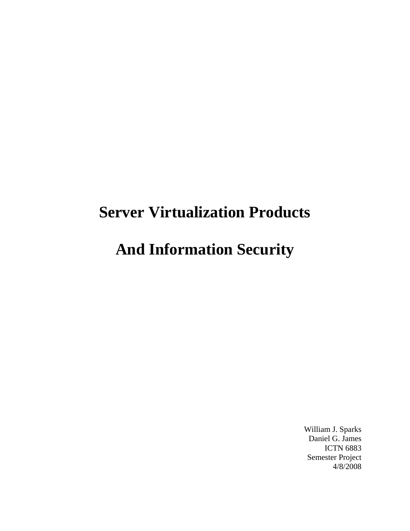# **Server Virtualization Products**

## **And Information Security**

William J. Sparks Daniel G. James ICTN 6883 Semester Project 4/8/2008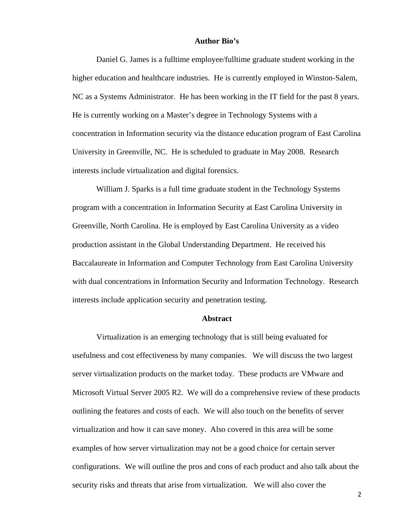#### **Author Bio's**

 Daniel G. James is a fulltime employee/fulltime graduate student working in the higher education and healthcare industries. He is currently employed in Winston-Salem, NC as a Systems Administrator. He has been working in the IT field for the past 8 years. He is currently working on a Master's degree in Technology Systems with a concentration in Information security via the distance education program of East Carolina University in Greenville, NC. He is scheduled to graduate in May 2008. Research interests include virtualization and digital forensics.

 William J. Sparks is a full time graduate student in the Technology Systems program with a concentration in Information Security at East Carolina University in Greenville, North Carolina. He is employed by East Carolina University as a video production assistant in the Global Understanding Department. He received his Baccalaureate in Information and Computer Technology from East Carolina University with dual concentrations in Information Security and Information Technology. Research interests include application security and penetration testing.

#### **Abstract**

 Virtualization is an emerging technology that is still being evaluated for usefulness and cost effectiveness by many companies. We will discuss the two largest server virtualization products on the market today. These products are VMware and Microsoft Virtual Server 2005 R2. We will do a comprehensive review of these products outlining the features and costs of each. We will also touch on the benefits of server virtualization and how it can save money. Also covered in this area will be some examples of how server virtualization may not be a good choice for certain server configurations. We will outline the pros and cons of each product and also talk about the security risks and threats that arise from virtualization. We will also cover the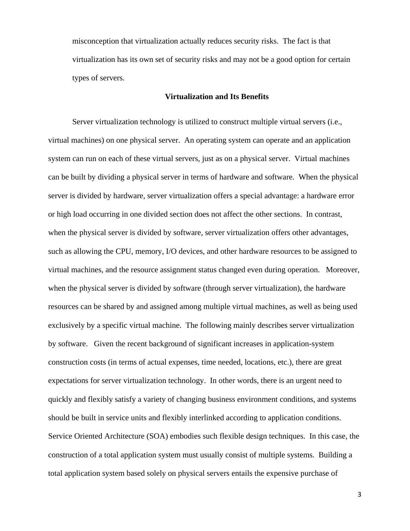misconception that virtualization actually reduces security risks. The fact is that virtualization has its own set of security risks and may not be a good option for certain types of servers.

#### **Virtualization and Its Benefits**

 Server virtualization technology is utilized to construct multiple virtual servers (i.e., virtual machines) on one physical server. An operating system can operate and an application system can run on each of these virtual servers, just as on a physical server. Virtual machines can be built by dividing a physical server in terms of hardware and software. When the physical server is divided by hardware, server virtualization offers a special advantage: a hardware error or high load occurring in one divided section does not affect the other sections. In contrast, when the physical server is divided by software, server virtualization offers other advantages, such as allowing the CPU, memory, I/O devices, and other hardware resources to be assigned to virtual machines, and the resource assignment status changed even during operation. Moreover, when the physical server is divided by software (through server virtualization), the hardware resources can be shared by and assigned among multiple virtual machines, as well as being used exclusively by a specific virtual machine. The following mainly describes server virtualization by software. Given the recent background of significant increases in application-system construction costs (in terms of actual expenses, time needed, locations, etc.), there are great expectations for server virtualization technology. In other words, there is an urgent need to quickly and flexibly satisfy a variety of changing business environment conditions, and systems should be built in service units and flexibly interlinked according to application conditions. Service Oriented Architecture (SOA) embodies such flexible design techniques. In this case, the construction of a total application system must usually consist of multiple systems. Building a total application system based solely on physical servers entails the expensive purchase of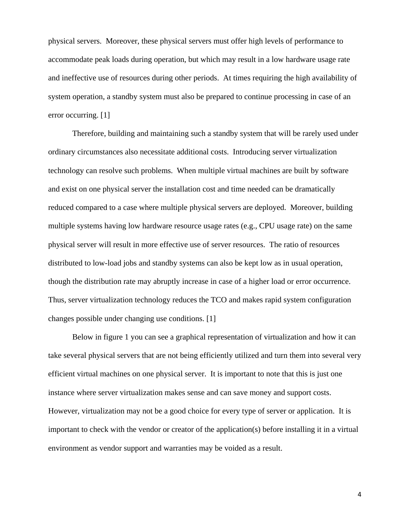physical servers. Moreover, these physical servers must offer high levels of performance to accommodate peak loads during operation, but which may result in a low hardware usage rate and ineffective use of resources during other periods. At times requiring the high availability of system operation, a standby system must also be prepared to continue processing in case of an error occurring. [1]

 Therefore, building and maintaining such a standby system that will be rarely used under ordinary circumstances also necessitate additional costs. Introducing server virtualization technology can resolve such problems. When multiple virtual machines are built by software and exist on one physical server the installation cost and time needed can be dramatically reduced compared to a case where multiple physical servers are deployed. Moreover, building multiple systems having low hardware resource usage rates (e.g., CPU usage rate) on the same physical server will result in more effective use of server resources. The ratio of resources distributed to low-load jobs and standby systems can also be kept low as in usual operation, though the distribution rate may abruptly increase in case of a higher load or error occurrence. Thus, server virtualization technology reduces the TCO and makes rapid system configuration changes possible under changing use conditions. [1]

 Below in figure 1 you can see a graphical representation of virtualization and how it can take several physical servers that are not being efficiently utilized and turn them into several very efficient virtual machines on one physical server. It is important to note that this is just one instance where server virtualization makes sense and can save money and support costs. However, virtualization may not be a good choice for every type of server or application. It is important to check with the vendor or creator of the application(s) before installing it in a virtual environment as vendor support and warranties may be voided as a result.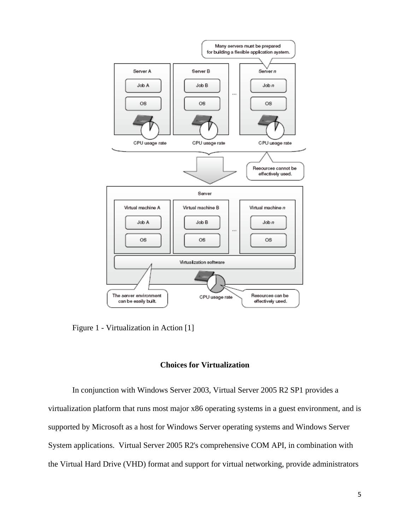

Figure 1 - Virtualization in Action [1]

### **Choices for Virtualization**

In conjunction with Windows Server 2003, Virtual Server 2005 R2 SP1 provides a virtualization platform that runs most major x86 operating systems in a guest environment, and is supported by Microsoft as a host for Windows Server operating systems and Windows Server System applications. Virtual Server 2005 R2's comprehensive COM API, in combination with the Virtual Hard Drive (VHD) format and support for virtual networking, provide administrators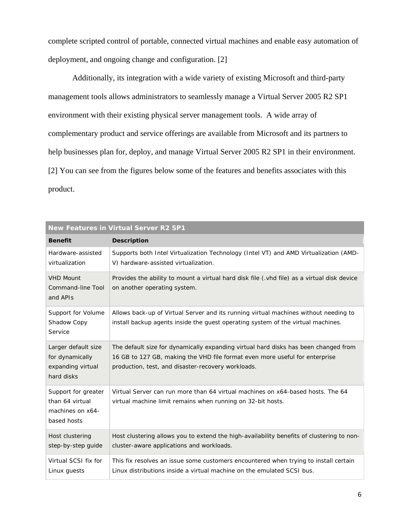complete scripted control of portable, connected virtual machines and enable easy automation of deployment, and ongoing change and configuration. [2]

 Additionally, its integration with a wide variety of existing Microsoft and third-party management tools allows administrators to seamlessly manage a Virtual Server 2005 R2 SP1 environment with their existing physical server management tools. A wide array of complementary product and service offerings are available from Microsoft and its partners to help businesses plan for, deploy, and manage Virtual Server 2005 R2 SP1 in their environment. [2] You can see from the figures below some of the features and benefits associates with this product.

| <b>New Features in Virtual Server R2 SP1</b>                              |                                                                                                                                                                                                                          |  |
|---------------------------------------------------------------------------|--------------------------------------------------------------------------------------------------------------------------------------------------------------------------------------------------------------------------|--|
| <b>Benefit</b>                                                            | <b>Description</b>                                                                                                                                                                                                       |  |
| Hardware-assisted<br>virtualization                                       | Supports both Intel Virtualization Technology (Intel VT) and AMD Virtualization (AMD-<br>V) hardware-assisted virtualization.                                                                                            |  |
| <b>VHD Mount</b><br>Command-line Tool<br>and APIs                         | Provides the ability to mount a virtual hard disk file (.vhd file) as a virtual disk device<br>on another operating system.                                                                                              |  |
| Support for Volume<br>Shadow Copy<br>Service                              | Allows back-up of Virtual Server and its running virtual machines without needing to<br>install backup agents inside the guest operating system of the virtual machines.                                                 |  |
| Larger default size<br>for dynamically<br>expanding virtual<br>hard disks | The default size for dynamically expanding virtual hard disks has been changed from<br>16 GB to 127 GB, making the VHD file format even more useful for enterprise<br>production, test, and disaster-recovery workloads. |  |
| Support for greater<br>than 64 virtual<br>machines on x64-<br>based hosts | Virtual Server can run more than 64 virtual machines on x64-based hosts. The 64<br>virtual machine limit remains when running on 32-bit hosts.                                                                           |  |
| Host clustering<br>step-by-step quide                                     | Host clustering allows you to extend the high-availability benefits of clustering to non-<br>cluster-aware applications and workloads.                                                                                   |  |
| Virtual SCSI fix for<br>Linux quests                                      | This fix resolves an issue some customers encountered when trying to install certain<br>Linux distributions inside a virtual machine on the emulated SCSI bus.                                                           |  |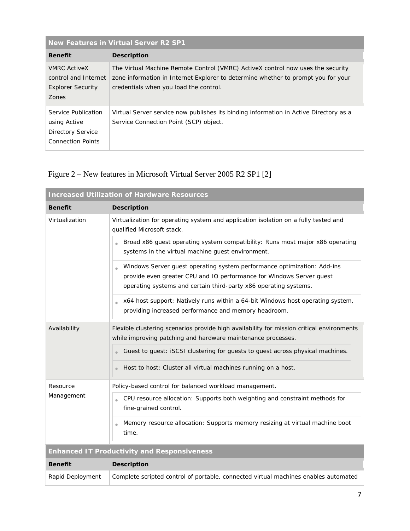| New Features in Virtual Server R2 SP1                                                       |                                                                                                                                                                                                                |  |
|---------------------------------------------------------------------------------------------|----------------------------------------------------------------------------------------------------------------------------------------------------------------------------------------------------------------|--|
| <b>Benefit</b>                                                                              | <b>Description</b>                                                                                                                                                                                             |  |
| <b>VMRC ActiveX</b><br>control and Internet<br><b>Explorer Security</b><br><b>Zones</b>     | The Virtual Machine Remote Control (VMRC) ActiveX control now uses the security<br>zone information in Internet Explorer to determine whether to prompt you for your<br>credentials when you load the control. |  |
| Service Publication<br>using Active<br><b>Directory Service</b><br><b>Connection Points</b> | Virtual Server service now publishes its binding information in Active Directory as a<br>Service Connection Point (SCP) object.                                                                                |  |

## Figure 2 – New features in Microsoft Virtual Server 2005 R2 SP1 [2]

| <b>Increased Utilization of Hardware Resources</b> |                                                                                                                                                                                                                                  |  |
|----------------------------------------------------|----------------------------------------------------------------------------------------------------------------------------------------------------------------------------------------------------------------------------------|--|
| <b>Benefit</b>                                     | <b>Description</b>                                                                                                                                                                                                               |  |
| Virtualization                                     | Virtualization for operating system and application isolation on a fully tested and<br>qualified Microsoft stack.                                                                                                                |  |
|                                                    | Broad x86 guest operating system compatibility: Runs most major x86 operating<br>systems in the virtual machine guest environment.                                                                                               |  |
|                                                    | Windows Server guest operating system performance optimization: Add-ins<br>$\bullet$<br>provide even greater CPU and IO performance for Windows Server guest<br>operating systems and certain third-party x86 operating systems. |  |
|                                                    | x64 host support: Natively runs within a 64-bit Windows host operating system,<br>providing increased performance and memory headroom.                                                                                           |  |
| Availability                                       | Flexible clustering scenarios provide high availability for mission critical environments<br>while improving patching and hardware maintenance processes.                                                                        |  |
|                                                    | Guest to guest: iSCSI clustering for guests to guest across physical machines.<br>$\bullet$                                                                                                                                      |  |
|                                                    | Host to host: Cluster all virtual machines running on a host.                                                                                                                                                                    |  |
| Resource<br>Management                             | Policy-based control for balanced workload management.                                                                                                                                                                           |  |
|                                                    | CPU resource allocation: Supports both weighting and constraint methods for<br>$\bullet$<br>fine-grained control.                                                                                                                |  |
|                                                    | Memory resource allocation: Supports memory resizing at virtual machine boot<br>$\bullet$<br>time.                                                                                                                               |  |
| <b>Enhanced IT Productivity and Responsiveness</b> |                                                                                                                                                                                                                                  |  |
| <b>Benefit</b>                                     | <b>Description</b>                                                                                                                                                                                                               |  |
| Rapid Deployment                                   | Complete scripted control of portable, connected virtual machines enables automated                                                                                                                                              |  |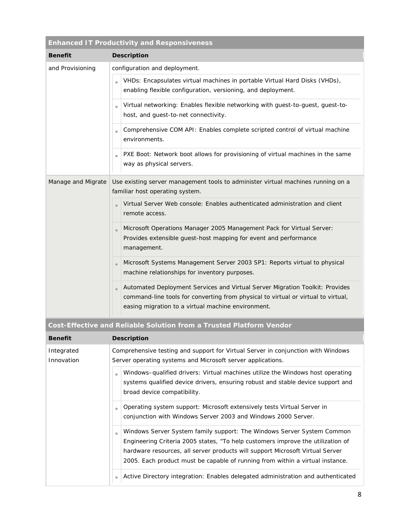| <b>Enhanced IT Productivity and Responsiveness</b> |                                                                                                                                                                                                                                      |  |
|----------------------------------------------------|--------------------------------------------------------------------------------------------------------------------------------------------------------------------------------------------------------------------------------------|--|
| <b>Benefit</b>                                     | <b>Description</b>                                                                                                                                                                                                                   |  |
| and Provisioning                                   | configuration and deployment.                                                                                                                                                                                                        |  |
|                                                    | VHDs: Encapsulates virtual machines in portable Virtual Hard Disks (VHDs),<br>$\bullet$<br>enabling flexible configuration, versioning, and deployment.                                                                              |  |
|                                                    | Virtual networking: Enables flexible networking with guest-to-guest, guest-to-<br>host, and guest-to-net connectivity.                                                                                                               |  |
|                                                    | Comprehensive COM API: Enables complete scripted control of virtual machine<br>$\qquad \qquad \bullet$<br>environments.                                                                                                              |  |
|                                                    | PXE Boot: Network boot allows for provisioning of virtual machines in the same<br>way as physical servers.                                                                                                                           |  |
| Manage and Migrate                                 | Use existing server management tools to administer virtual machines running on a<br>familiar host operating system.                                                                                                                  |  |
|                                                    | Virtual Server Web console: Enables authenticated administration and client<br>remote access.                                                                                                                                        |  |
|                                                    | Microsoft Operations Manager 2005 Management Pack for Virtual Server:<br>$\bullet$<br>Provides extensible guest-host mapping for event and performance<br>management.                                                                |  |
|                                                    | Microsoft Systems Management Server 2003 SP1: Reports virtual to physical<br>$\bullet$<br>machine relationships for inventory purposes.                                                                                              |  |
|                                                    | Automated Deployment Services and Virtual Server Migration Toolkit: Provides<br>$\bullet$<br>command-line tools for converting from physical to virtual or virtual to virtual,<br>easing migration to a virtual machine environment. |  |

## **Cost-Effective and Reliable Solution from a Trusted Platform Vendor**

| <b>Benefit</b>           | <b>Description</b>                                                                                                                                                                                                                                                                                                                            |
|--------------------------|-----------------------------------------------------------------------------------------------------------------------------------------------------------------------------------------------------------------------------------------------------------------------------------------------------------------------------------------------|
| Integrated<br>Innovation | Comprehensive testing and support for Virtual Server in conjunction with Windows<br>Server operating systems and Microsoft server applications.                                                                                                                                                                                               |
|                          | Windows-qualified drivers: Virtual machines utilize the Windows host operating<br>systems qualified device drivers, ensuring robust and stable device support and<br>broad device compatibility.                                                                                                                                              |
|                          | Operating system support: Microsoft extensively tests Virtual Server in<br>$\bullet$<br>conjunction with Windows Server 2003 and Windows 2000 Server.                                                                                                                                                                                         |
|                          | Windows Server System family support: The Windows Server System Common<br>$\blacksquare$<br>Engineering Criteria 2005 states, "To help customers improve the utilization of<br>hardware resources, all server products will support Microsoft Virtual Server<br>2005. Each product must be capable of running from within a virtual instance. |
|                          | Active Directory integration: Enables delegated administration and authenticated                                                                                                                                                                                                                                                              |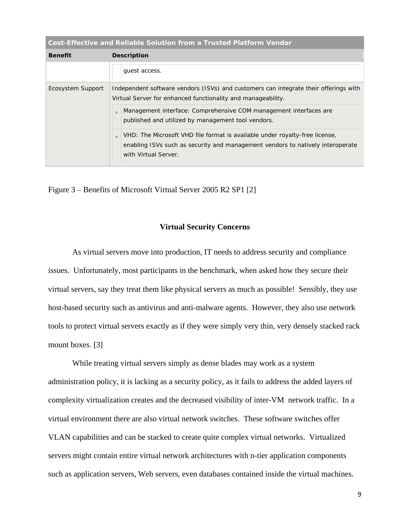| Cost-Effective and Reliable Solution from a Trusted Platform Vendor |                                                                                                                                                                                                     |  |
|---------------------------------------------------------------------|-----------------------------------------------------------------------------------------------------------------------------------------------------------------------------------------------------|--|
| <b>Benefit</b>                                                      | <b>Description</b>                                                                                                                                                                                  |  |
|                                                                     | quest access.                                                                                                                                                                                       |  |
| Ecosystem Support                                                   | Independent software vendors (ISVs) and customers can integrate their offerings with<br>Virtual Server for enhanced functionality and manageability.                                                |  |
|                                                                     | Management interface: Comprehensive COM management interfaces are<br>$\sqrt{2}$<br>published and utilized by management tool vendors.                                                               |  |
|                                                                     | VHD: The Microsoft VHD file format is available under royalty-free license,<br>$\sqrt{2}$<br>enabling ISVs such as security and management vendors to natively interoperate<br>with Virtual Server. |  |

Figure 3 – Benefits of Microsoft Virtual Server 2005 R2 SP1 [2]

### **Virtual Security Concerns**

 As virtual servers move into production, IT needs to address security and compliance issues. Unfortunately, most participants in the benchmark, when asked how they secure their virtual servers, say they treat them like physical servers as much as possible! Sensibly, they use host-based security such as antivirus and anti-malware agents. However, they also use network tools to protect virtual servers exactly as if they were simply very thin, very densely stacked rack mount boxes. [3]

 While treating virtual servers simply as dense blades may work as a system administration policy, it is lacking as a security policy, as it fails to address the added layers of complexity virtualization creates and the decreased visibility of inter-VM network traffic. In a virtual environment there are also virtual network switches. These software switches offer VLAN capabilities and can be stacked to create quite complex virtual networks. Virtualized servers might contain entire virtual network architectures with n-tier application components such as application servers, Web servers, even databases contained inside the virtual machines.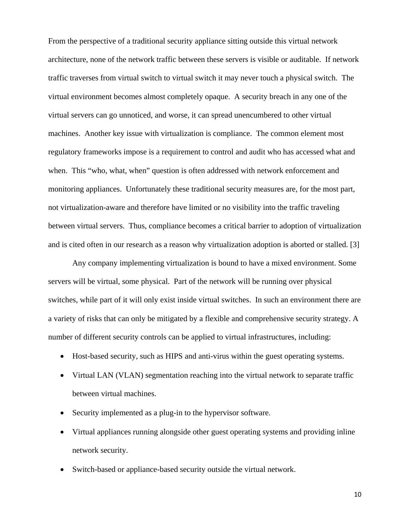From the perspective of a traditional security appliance sitting outside this virtual network architecture, none of the network traffic between these servers is visible or auditable. If network traffic traverses from virtual switch to virtual switch it may never touch a physical switch. The virtual environment becomes almost completely opaque. A security breach in any one of the virtual servers can go unnoticed, and worse, it can spread unencumbered to other virtual machines. Another key issue with virtualization is compliance. The common element most regulatory frameworks impose is a requirement to control and audit who has accessed what and when. This "who, what, when" question is often addressed with network enforcement and monitoring appliances. Unfortunately these traditional security measures are, for the most part, not virtualization-aware and therefore have limited or no visibility into the traffic traveling between virtual servers. Thus, compliance becomes a critical barrier to adoption of virtualization and is cited often in our research as a reason why virtualization adoption is aborted or stalled. [3]

 Any company implementing virtualization is bound to have a mixed environment. Some servers will be virtual, some physical. Part of the network will be running over physical switches, while part of it will only exist inside virtual switches. In such an environment there are a variety of risks that can only be mitigated by a flexible and comprehensive security strategy. A number of different security controls can be applied to virtual infrastructures, including:

- Host-based security, such as HIPS and anti-virus within the guest operating systems.
- Virtual LAN (VLAN) segmentation reaching into the virtual network to separate traffic between virtual machines.
- Security implemented as a plug-in to the hypervisor software.
- Virtual appliances running alongside other guest operating systems and providing inline network security.
- Switch-based or appliance-based security outside the virtual network.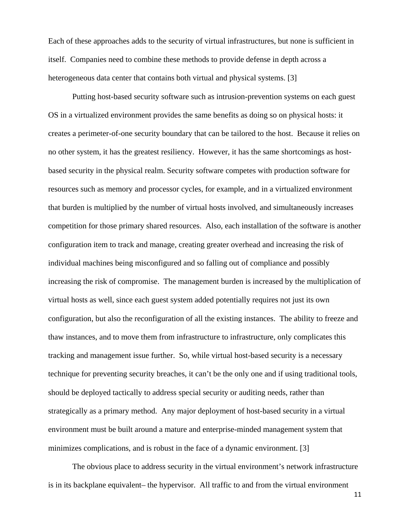Each of these approaches adds to the security of virtual infrastructures, but none is sufficient in itself. Companies need to combine these methods to provide defense in depth across a heterogeneous data center that contains both virtual and physical systems. [3]

 Putting host-based security software such as intrusion-prevention systems on each guest OS in a virtualized environment provides the same benefits as doing so on physical hosts: it creates a perimeter-of-one security boundary that can be tailored to the host. Because it relies on no other system, it has the greatest resiliency. However, it has the same shortcomings as hostbased security in the physical realm. Security software competes with production software for resources such as memory and processor cycles, for example, and in a virtualized environment that burden is multiplied by the number of virtual hosts involved, and simultaneously increases competition for those primary shared resources. Also, each installation of the software is another configuration item to track and manage, creating greater overhead and increasing the risk of individual machines being misconfigured and so falling out of compliance and possibly increasing the risk of compromise. The management burden is increased by the multiplication of virtual hosts as well, since each guest system added potentially requires not just its own configuration, but also the reconfiguration of all the existing instances. The ability to freeze and thaw instances, and to move them from infrastructure to infrastructure, only complicates this tracking and management issue further. So, while virtual host-based security is a necessary technique for preventing security breaches, it can't be the only one and if using traditional tools, should be deployed tactically to address special security or auditing needs, rather than strategically as a primary method. Any major deployment of host-based security in a virtual environment must be built around a mature and enterprise-minded management system that minimizes complications, and is robust in the face of a dynamic environment. [3]

 The obvious place to address security in the virtual environment's network infrastructure is in its backplane equivalent– the hypervisor. All traffic to and from the virtual environment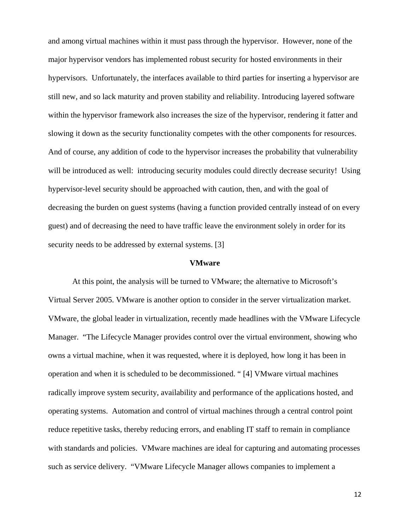and among virtual machines within it must pass through the hypervisor. However, none of the major hypervisor vendors has implemented robust security for hosted environments in their hypervisors. Unfortunately, the interfaces available to third parties for inserting a hypervisor are still new, and so lack maturity and proven stability and reliability. Introducing layered software within the hypervisor framework also increases the size of the hypervisor, rendering it fatter and slowing it down as the security functionality competes with the other components for resources. And of course, any addition of code to the hypervisor increases the probability that vulnerability will be introduced as well: introducing security modules could directly decrease security! Using hypervisor-level security should be approached with caution, then, and with the goal of decreasing the burden on guest systems (having a function provided centrally instead of on every guest) and of decreasing the need to have traffic leave the environment solely in order for its security needs to be addressed by external systems. [3]

#### **VMware**

 At this point, the analysis will be turned to VMware; the alternative to Microsoft's Virtual Server 2005. VMware is another option to consider in the server virtualization market. VMware, the global leader in virtualization, recently made headlines with the VMware Lifecycle Manager. "The Lifecycle Manager provides control over the virtual environment, showing who owns a virtual machine, when it was requested, where it is deployed, how long it has been in operation and when it is scheduled to be decommissioned. " [4] VMware virtual machines radically improve system security, availability and performance of the applications hosted, and operating systems. Automation and control of virtual machines through a central control point reduce repetitive tasks, thereby reducing errors, and enabling IT staff to remain in compliance with standards and policies. VMware machines are ideal for capturing and automating processes such as service delivery. "VMware Lifecycle Manager allows companies to implement a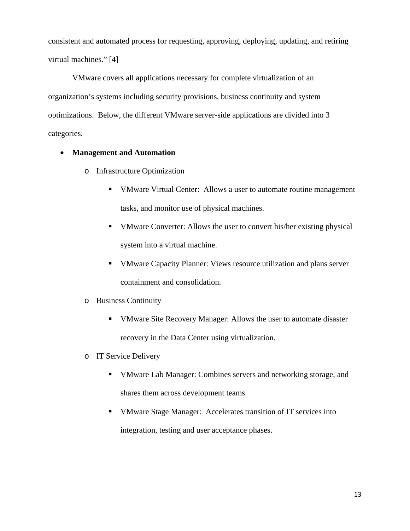consistent and automated process for requesting, approving, deploying, updating, and retiring virtual machines." [4]

 VMware covers all applications necessary for complete virtualization of an organization's systems including security provisions, business continuity and system optimizations. Below, the different VMware server-side applications are divided into 3 categories.

## • **Management and Automation**

- o Infrastructure Optimization
	- VMware Virtual Center: Allows a user to automate routine management tasks, and monitor use of physical machines.
	- VMware Converter: Allows the user to convert his/her existing physical system into a virtual machine.
	- VMware Capacity Planner: Views resource utilization and plans server containment and consolidation.
- o Business Continuity
	- VMware Site Recovery Manager: Allows the user to automate disaster recovery in the Data Center using virtualization.
- o IT Service Delivery
	- VMware Lab Manager: Combines servers and networking storage, and shares them across development teams.
	- VMware Stage Manager: Accelerates transition of IT services into integration, testing and user acceptance phases.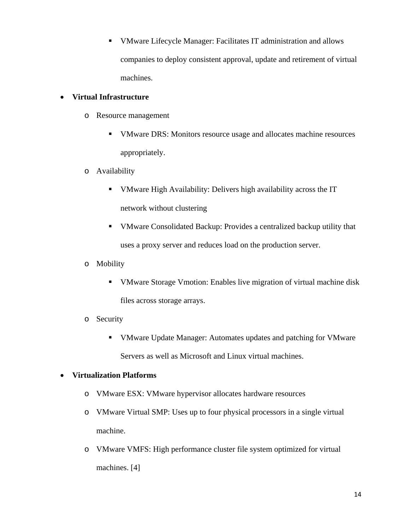VMware Lifecycle Manager: Facilitates IT administration and allows companies to deploy consistent approval, update and retirement of virtual machines.

## • **Virtual Infrastructure**

- o Resource management
	- VMware DRS: Monitors resource usage and allocates machine resources appropriately.
- o Availability
	- VMware High Availability: Delivers high availability across the IT network without clustering
	- VMware Consolidated Backup: Provides a centralized backup utility that uses a proxy server and reduces load on the production server.
- o Mobility
	- VMware Storage Vmotion: Enables live migration of virtual machine disk files across storage arrays.
- o Security
	- VMware Update Manager: Automates updates and patching for VMware Servers as well as Microsoft and Linux virtual machines.

## • **Virtualization Platforms**

- o VMware ESX: VMware hypervisor allocates hardware resources
- o VMware Virtual SMP: Uses up to four physical processors in a single virtual machine.
- o VMware VMFS: High performance cluster file system optimized for virtual machines. [4]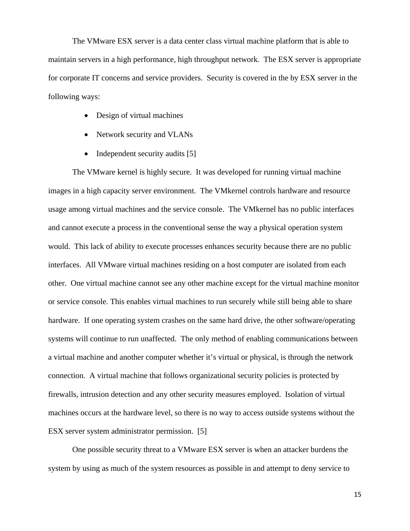The VMware ESX server is a data center class virtual machine platform that is able to maintain servers in a high performance, high throughput network. The ESX server is appropriate for corporate IT concerns and service providers. Security is covered in the by ESX server in the following ways:

- Design of virtual machines
- Network security and VLANs
- Independent security audits [5]

The VMware kernel is highly secure. It was developed for running virtual machine images in a high capacity server environment. The VMkernel controls hardware and resource usage among virtual machines and the service console. The VMkernel has no public interfaces and cannot execute a process in the conventional sense the way a physical operation system would. This lack of ability to execute processes enhances security because there are no public interfaces. All VMware virtual machines residing on a host computer are isolated from each other. One virtual machine cannot see any other machine except for the virtual machine monitor or service console. This enables virtual machines to run securely while still being able to share hardware. If one operating system crashes on the same hard drive, the other software/operating systems will continue to run unaffected. The only method of enabling communications between a virtual machine and another computer whether it's virtual or physical, is through the network connection. A virtual machine that follows organizational security policies is protected by firewalls, intrusion detection and any other security measures employed. Isolation of virtual machines occurs at the hardware level, so there is no way to access outside systems without the ESX server system administrator permission. [5]

 One possible security threat to a VMware ESX server is when an attacker burdens the system by using as much of the system resources as possible in and attempt to deny service to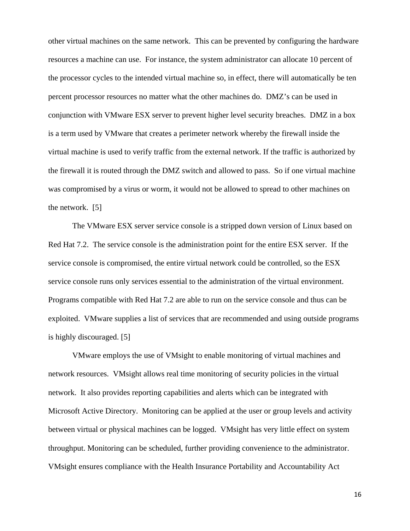other virtual machines on the same network. This can be prevented by configuring the hardware resources a machine can use. For instance, the system administrator can allocate 10 percent of the processor cycles to the intended virtual machine so, in effect, there will automatically be ten percent processor resources no matter what the other machines do. DMZ's can be used in conjunction with VMware ESX server to prevent higher level security breaches. DMZ in a box is a term used by VMware that creates a perimeter network whereby the firewall inside the virtual machine is used to verify traffic from the external network. If the traffic is authorized by the firewall it is routed through the DMZ switch and allowed to pass. So if one virtual machine was compromised by a virus or worm, it would not be allowed to spread to other machines on the network. [5]

 The VMware ESX server service console is a stripped down version of Linux based on Red Hat 7.2. The service console is the administration point for the entire ESX server. If the service console is compromised, the entire virtual network could be controlled, so the ESX service console runs only services essential to the administration of the virtual environment. Programs compatible with Red Hat 7.2 are able to run on the service console and thus can be exploited. VMware supplies a list of services that are recommended and using outside programs is highly discouraged. [5]

 VMware employs the use of VMsight to enable monitoring of virtual machines and network resources. VMsight allows real time monitoring of security policies in the virtual network. It also provides reporting capabilities and alerts which can be integrated with Microsoft Active Directory. Monitoring can be applied at the user or group levels and activity between virtual or physical machines can be logged. VMsight has very little effect on system throughput. Monitoring can be scheduled, further providing convenience to the administrator. VMsight ensures compliance with the Health Insurance Portability and Accountability Act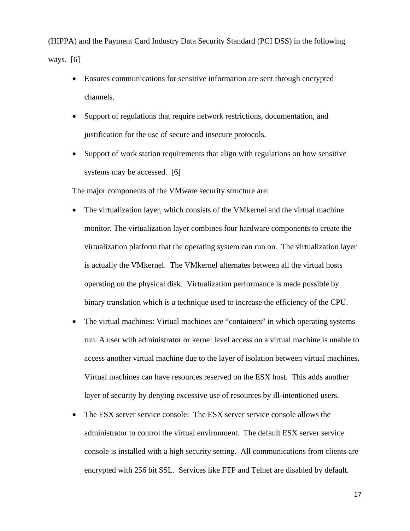(HIPPA) and the Payment Card Industry Data Security Standard (PCI DSS) in the following ways. [6]

- Ensures communications for sensitive information are sent through encrypted channels.
- Support of regulations that require network restrictions, documentation, and justification for the use of secure and insecure protocols.
- Support of work station requirements that align with regulations on how sensitive systems may be accessed. [6]

The major components of the VMware security structure are:

- The virtualization layer, which consists of the VMkernel and the virtual machine monitor. The virtualization layer combines four hardware components to create the virtualization platform that the operating system can run on. The virtualization layer is actually the VMkernel. The VMkernel alternates between all the virtual hosts operating on the physical disk. Virtualization performance is made possible by binary translation which is a technique used to increase the efficiency of the CPU.
- The virtual machines: Virtual machines are "containers" in which operating systems run. A user with administrator or kernel level access on a virtual machine is unable to access another virtual machine due to the layer of isolation between virtual machines. Virtual machines can have resources reserved on the ESX host. This adds another layer of security by denying excessive use of resources by ill-intentioned users.
- The ESX server service console: The ESX server service console allows the administrator to control the virtual environment. The default ESX server service console is installed with a high security setting. All communications from clients are encrypted with 256 bit SSL. Services like FTP and Telnet are disabled by default.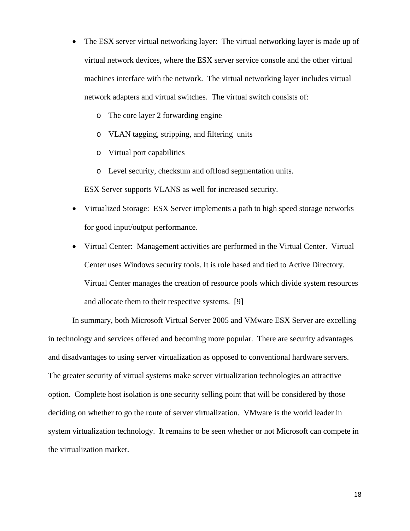- The ESX server virtual networking layer: The virtual networking layer is made up of virtual network devices, where the ESX server service console and the other virtual machines interface with the network. The virtual networking layer includes virtual network adapters and virtual switches. The virtual switch consists of:
	- o The core layer 2 forwarding engine
	- o VLAN tagging, stripping, and filtering units
	- o Virtual port capabilities
	- o Level security, checksum and offload segmentation units.

ESX Server supports VLANS as well for increased security.

- Virtualized Storage: ESX Server implements a path to high speed storage networks for good input/output performance.
- Virtual Center: Management activities are performed in the Virtual Center. Virtual Center uses Windows security tools. It is role based and tied to Active Directory. Virtual Center manages the creation of resource pools which divide system resources and allocate them to their respective systems. [9]

In summary, both Microsoft Virtual Server 2005 and VMware ESX Server are excelling in technology and services offered and becoming more popular. There are security advantages and disadvantages to using server virtualization as opposed to conventional hardware servers. The greater security of virtual systems make server virtualization technologies an attractive option. Complete host isolation is one security selling point that will be considered by those deciding on whether to go the route of server virtualization. VMware is the world leader in system virtualization technology. It remains to be seen whether or not Microsoft can compete in the virtualization market.